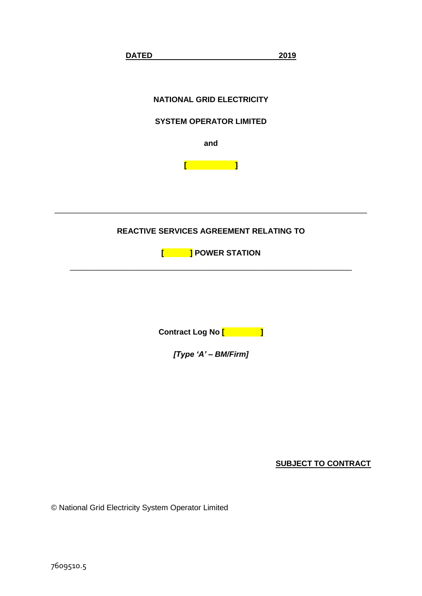

**SUBJECT TO CONTRACT**

© National Grid Electricity System Operator Limited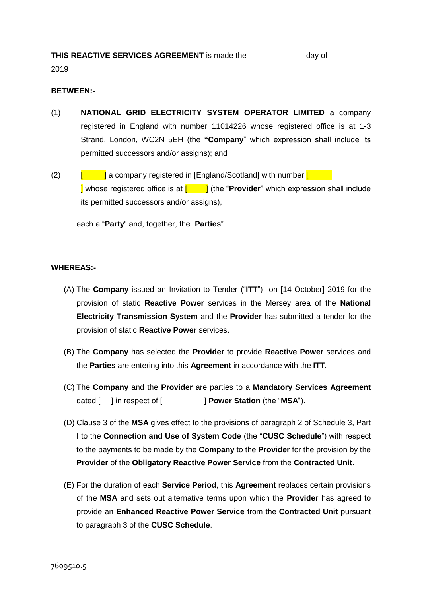# **THIS REACTIVE SERVICES AGREEMENT** is made the day of

2019

## **BETWEEN:-**

- (1) **NATIONAL GRID ELECTRICITY SYSTEM OPERATOR LIMITED** a company registered in England with number 11014226 whose registered office is at 1-3 Strand, London, WC2N 5EH (the **"Company**" which expression shall include its permitted successors and/or assigns); and
- (2)  $\left[\begin{array}{c} \begin{array}{c} \begin{array}{c} \end{array} \end{array} \right]$  a company registered in [England/Scotland] with number  $\left[\begin{array}{ccc} \end{array} \right]$ **I** whose registered office is at  $\begin{bmatrix} 1 \\ 1 \end{bmatrix}$  (the "**Provider**" which expression shall include its permitted successors and/or assigns),

each a "**Party**" and, together, the "**Parties**".

## **WHEREAS:-**

- (A) The **Company** issued an Invitation to Tender ("**ITT**") on [14 October] 2019 for the provision of static **Reactive Power** services in the Mersey area of the **National Electricity Transmission System** and the **Provider** has submitted a tender for the provision of static **Reactive Power** services.
- (B) The **Company** has selected the **Provider** to provide **Reactive Power** services and the **Parties** are entering into this **Agreement** in accordance with the **ITT**.
- (C) The **Company** and the **Provider** are parties to a **Mandatory Services Agreement** dated [ ] in respect of [ ] **Power Station** (the "**MSA**").
- (D) Clause 3 of the **MSA** gives effect to the provisions of paragraph 2 of Schedule 3, Part I to the **Connection and Use of System Code** (the "**CUSC Schedule**") with respect to the payments to be made by the **Company** to the **Provider** for the provision by the **Provider** of the **Obligatory Reactive Power Service** from the **Contracted Unit**.
- (E) For the duration of each **Service Period**, this **Agreement** replaces certain provisions of the **MSA** and sets out alternative terms upon which the **Provider** has agreed to provide an **Enhanced Reactive Power Service** from the **Contracted Unit** pursuant to paragraph 3 of the **CUSC Schedule**.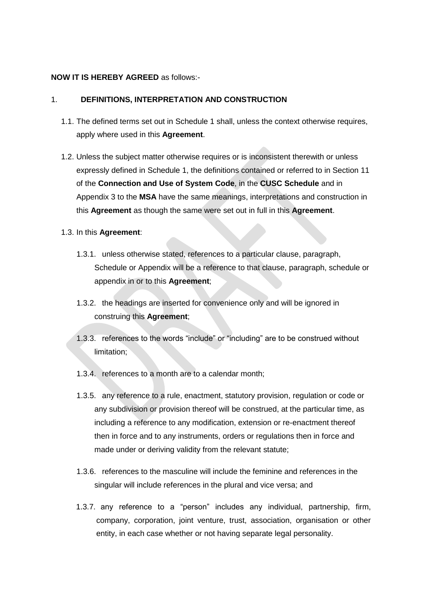## **NOW IT IS HEREBY AGREED** as follows:-

## 1. **DEFINITIONS, INTERPRETATION AND CONSTRUCTION**

- 1.1. The defined terms set out in Schedule 1 shall, unless the context otherwise requires, apply where used in this **Agreement**.
- 1.2. Unless the subject matter otherwise requires or is inconsistent therewith or unless expressly defined in Schedule 1, the definitions contained or referred to in Section 11 of the **Connection and Use of System Code**, in the **CUSC Schedule** and in Appendix 3 to the **MSA** have the same meanings, interpretations and construction in this **Agreement** as though the same were set out in full in this **Agreement**.
- 1.3. In this **Agreement**:
	- 1.3.1. unless otherwise stated, references to a particular clause, paragraph, Schedule or Appendix will be a reference to that clause, paragraph, schedule or appendix in or to this **Agreement**;
	- 1.3.2. the headings are inserted for convenience only and will be ignored in construing this **Agreement**;
	- 1.3.3. references to the words "include" or "including" are to be construed without limitation;
	- 1.3.4. references to a month are to a calendar month;
	- 1.3.5. any reference to a rule, enactment, statutory provision, regulation or code or any subdivision or provision thereof will be construed, at the particular time, as including a reference to any modification, extension or re-enactment thereof then in force and to any instruments, orders or regulations then in force and made under or deriving validity from the relevant statute;
	- 1.3.6. references to the masculine will include the feminine and references in the singular will include references in the plural and vice versa; and
	- 1.3.7. any reference to a "person" includes any individual, partnership, firm, company, corporation, joint venture, trust, association, organisation or other entity, in each case whether or not having separate legal personality.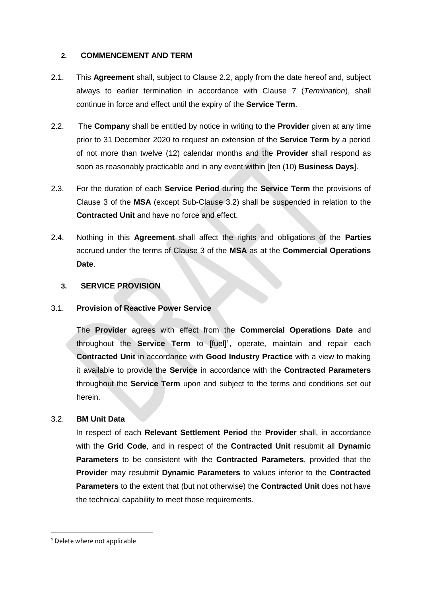## **2. COMMENCEMENT AND TERM**

- 2.1. This **Agreement** shall, subject to Clause 2.2, apply from the date hereof and, subject always to earlier termination in accordance with Clause [7](#page-8-0) (*Termination*), shall continue in force and effect until the expiry of the **Service Term**.
- 2.2. The **Company** shall be entitled by notice in writing to the **Provider** given at any time prior to 31 December 2020 to request an extension of the **Service Term** by a period of not more than twelve (12) calendar months and the **Provider** shall respond as soon as reasonably practicable and in any event within [ten (10) **Business Days**].
- 2.3. For the duration of each **Service Period** during the **Service Term** the provisions of Clause 3 of the **MSA** (except Sub-Clause 3.2) shall be suspended in relation to the **Contracted Unit** and have no force and effect.
- 2.4. Nothing in this **Agreement** shall affect the rights and obligations of the **Parties** accrued under the terms of Clause 3 of the **MSA** as at the **Commercial Operations Date**.

## <span id="page-3-0"></span>**3. SERVICE PROVISION**

## 3.1. **Provision of Reactive Power Service**

The **Provider** agrees with effect from the **Commercial Operations Date** and throughout the **Service Term** to [fuel]<sup>1</sup>, operate, maintain and repair each **Contracted Unit** in accordance with **Good Industry Practice** with a view to making it available to provide the **Service** in accordance with the **Contracted Parameters** throughout the **Service Term** upon and subject to the terms and conditions set out herein.

## 3.2. **BM Unit Data**

In respect of each **Relevant Settlement Period** the **Provider** shall, in accordance with the **Grid Code**, and in respect of the **Contracted Unit** resubmit all **Dynamic Parameters** to be consistent with the **Contracted Parameters**, provided that the **Provider** may resubmit **Dynamic Parameters** to values inferior to the **Contracted Parameters** to the extent that (but not otherwise) the **Contracted Unit** does not have the technical capability to meet those requirements.

-

<sup>&</sup>lt;sup>1</sup> Delete where not applicable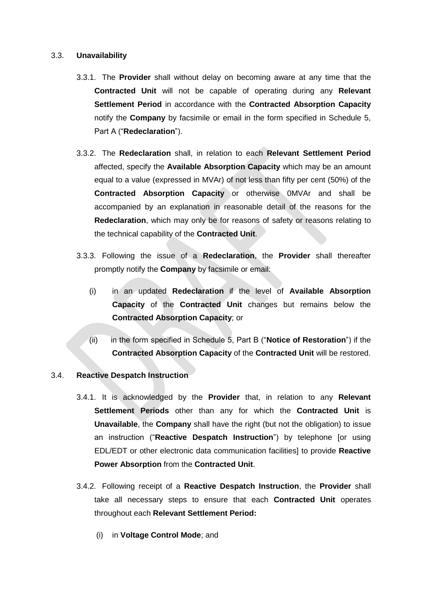## <span id="page-4-3"></span>3.3. **Unavailability**

- 3.3.1. The **Provider** shall without delay on becoming aware at any time that the **Contracted Unit** will not be capable of operating during any **Relevant Settlement Period** in accordance with the **Contracted Absorption Capacity** notify the **Company** by facsimile or email in the form specified in Schedule 5, Part A ("**Redeclaration**").
- 3.3.2. The **Redeclaration** shall, in relation to each **Relevant Settlement Period** affected, specify the **Available Absorption Capacity** which may be an amount equal to a value (expressed in MVAr) of not less than fifty per cent (50%) of the **Contracted Absorption Capacity** or otherwise 0MVAr and shall be accompanied by an explanation in reasonable detail of the reasons for the **Redeclaration**, which may only be for reasons of safety or reasons relating to the technical capability of the **Contracted Unit**.
- 3.3.3. Following the issue of a **Redeclaration**, the **Provider** shall thereafter promptly notify the **Company** by facsimile or email:
	- (i) in an updated **Redeclaration** if the level of **Available Absorption Capacity** of the **Contracted Unit** changes but remains below the **Contracted Absorption Capacity**; or
	- (ii) in the form specified in Schedule 5, Part B ("**Notice of Restoration**") if the **Contracted Absorption Capacity** of the **Contracted Unit** will be restored.

## <span id="page-4-2"></span>3.4. **Reactive Despatch Instruction**

- <span id="page-4-1"></span>3.4.1. It is acknowledged by the **Provider** that, in relation to any **Relevant Settlement Periods** other than any for which the **Contracted Unit** is **Unavailable**, the **Company** shall have the right (but not the obligation) to issue an instruction ("**Reactive Despatch Instruction**") by telephone [or using EDL/EDT or other electronic data communication facilities] to provide **Reactive Power Absorption** from the **Contracted Unit**.
- <span id="page-4-0"></span>3.4.2. Following receipt of a **Reactive Despatch Instruction**, the **Provider** shall take all necessary steps to ensure that each **Contracted Unit** operates throughout each **Relevant Settlement Period:**
	- (i) in **Voltage Control Mode**; and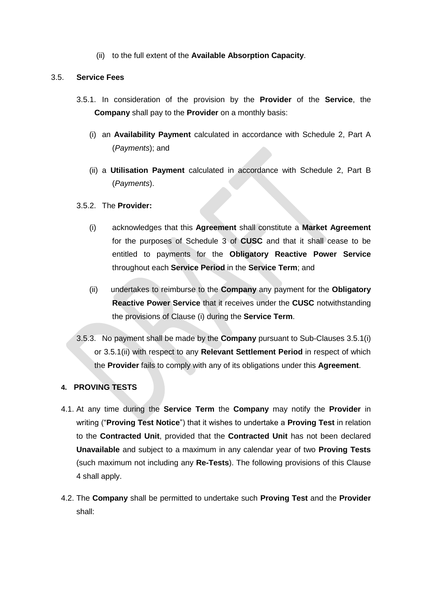(ii) to the full extent of the **Available Absorption Capacity**.

## 3.5. **Service Fees**

- <span id="page-5-1"></span>3.5.1. In consideration of the provision by the **Provider** of the **Service**, the **Company** shall pay to the **Provider** on a monthly basis:
	- (i) an **Availability Payment** calculated in accordance with Schedule 2, Part A (*Payments*); and
	- (ii) a **Utilisation Payment** calculated in accordance with Schedule 2, Part B (*Payments*).

### <span id="page-5-2"></span>3.5.2. The **Provider:**

- <span id="page-5-0"></span>(i) acknowledges that this **Agreement** shall constitute a **Market Agreement** for the purposes of Schedule 3 of **CUSC** and that it shall cease to be entitled to payments for the **Obligatory Reactive Power Service** throughout each **Service Period** in the **Service Term**; and
- (ii) undertakes to reimburse to the **Company** any payment for the **Obligatory Reactive Power Service** that it receives under the **CUSC** notwithstanding the provisions of Clause [\(i\)](#page-5-0) during the **Service Term**.
- 3.5.3. No payment shall be made by the **Company** pursuant to Sub-Clauses [3.5.1\(i\)](#page-5-1) or [3.5.1\(ii\)](#page-5-2) with respect to any **Relevant Settlement Period** in respect of which the **Provider** fails to comply with any of its obligations under this **Agreement**.

## <span id="page-5-3"></span>**4. PROVING TESTS**

- 4.1. At any time during the **Service Term** the **Company** may notify the **Provider** in writing ("**Proving Test Notice**") that it wishes to undertake a **Proving Test** in relation to the **Contracted Unit**, provided that the **Contracted Unit** has not been declared **Unavailable** and subject to a maximum in any calendar year of two **Proving Tests** (such maximum not including any **Re-Tests**). The following provisions of this Clause [4](#page-5-3) shall apply.
- 4.2. The **Company** shall be permitted to undertake such **Proving Test** and the **Provider** shall: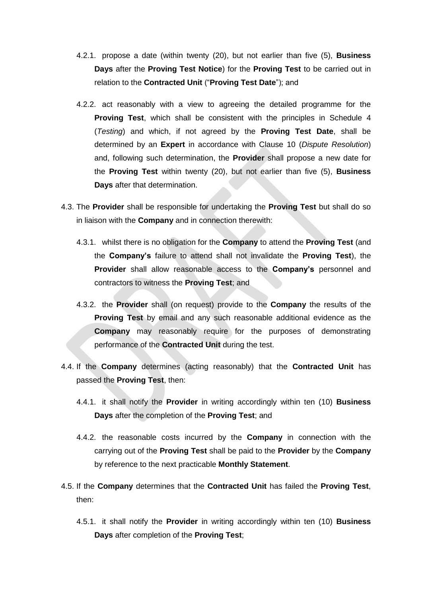- 4.2.1. propose a date (within twenty (20), but not earlier than five (5), **Business Days** after the **Proving Test Notice**) for the **Proving Test** to be carried out in relation to the **Contracted Unit** ("**Proving Test Date**"); and
- 4.2.2. act reasonably with a view to agreeing the detailed programme for the **Proving Test**, which shall be consistent with the principles in Schedule 4 (*Testing*) and which, if not agreed by the **Proving Test Date**, shall be determined by an **Expert** in accordance with Clause [10](#page-11-0) (*Dispute Resolution*) and, following such determination, the **Provider** shall propose a new date for the **Proving Test** within twenty (20), but not earlier than five (5), **Business Days** after that determination.
- 4.3. The **Provider** shall be responsible for undertaking the **Proving Test** but shall do so in liaison with the **Company** and in connection therewith:
	- 4.3.1. whilst there is no obligation for the **Company** to attend the **Proving Test** (and the **Company's** failure to attend shall not invalidate the **Proving Test**), the **Provider** shall allow reasonable access to the **Company's** personnel and contractors to witness the **Proving Test**; and
	- 4.3.2. the **Provider** shall (on request) provide to the **Company** the results of the **Proving Test** by email and any such reasonable additional evidence as the **Company** may reasonably require for the purposes of demonstrating performance of the **Contracted Unit** during the test.
- 4.4. If the **Company** determines (acting reasonably) that the **Contracted Unit** has passed the **Proving Test**, then:
	- 4.4.1. it shall notify the **Provider** in writing accordingly within ten (10) **Business Days** after the completion of the **Proving Test**; and
	- 4.4.2. the reasonable costs incurred by the **Company** in connection with the carrying out of the **Proving Test** shall be paid to the **Provider** by the **Company**  by reference to the next practicable **Monthly Statement**.
- <span id="page-6-0"></span>4.5. If the **Company** determines that the **Contracted Unit** has failed the **Proving Test**, then:
	- 4.5.1. it shall notify the **Provider** in writing accordingly within ten (10) **Business Days** after completion of the **Proving Test**;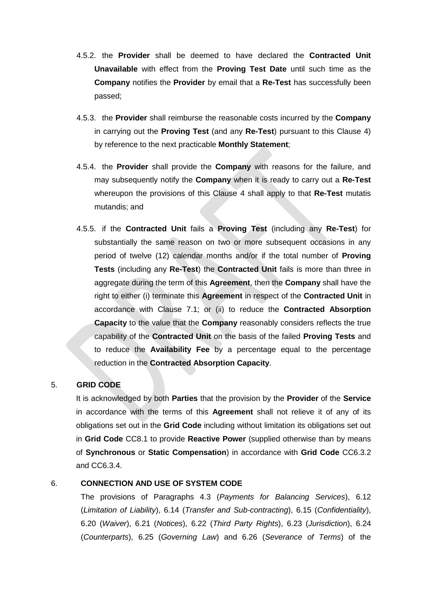- 4.5.2. the **Provider** shall be deemed to have declared the **Contracted Unit Unavailable** with effect from the **Proving Test Date** until such time as the **Company** notifies the **Provider** by email that a **Re-Test** has successfully been passed;
- 4.5.3. the **Provider** shall reimburse the reasonable costs incurred by the **Company** in carrying out the **Proving Test** (and any **Re-Test**) pursuant to this Clause [4\)](#page-5-3) by reference to the next practicable **Monthly Statement**;
- 4.5.4. the **Provider** shall provide the **Company** with reasons for the failure, and may subsequently notify the **Company** when it is ready to carry out a **Re-Test** whereupon the provisions of this Clause [4](#page-5-3) shall apply to that **Re-Test** mutatis mutandis; and
- 4.5.5. if the **Contracted Unit** fails a **Proving Test** (including any **Re-Test**) for substantially the same reason on two or more subsequent occasions in any period of twelve (12) calendar months and/or if the total number of **Proving Tests** (including any **Re-Test**) the **Contracted Unit** fails is more than three in aggregate during the term of this **Agreement**, then the **Company** shall have the right to either (i) terminate this **Agreement** in respect of the **Contracted Unit** in accordance with Clause [7.1;](#page-8-1) or (ii) to reduce the **Contracted Absorption Capacity** to the value that the **Company** reasonably considers reflects the true capability of the **Contracted Unit** on the basis of the failed **Proving Tests** and to reduce the **Availability Fee** by a percentage equal to the percentage reduction in the **Contracted Absorption Capacity**.

## 5. **GRID CODE**

It is acknowledged by both **Parties** that the provision by the **Provider** of the **Service** in accordance with the terms of this **Agreement** shall not relieve it of any of its obligations set out in the **Grid Code** including without limitation its obligations set out in **Grid Code** CC8.1 to provide **Reactive Power** (supplied otherwise than by means of **Synchronous** or **Static Compensation**) in accordance with **Grid Code** CC6.3.2 and CC6.3.4.

## 6. **CONNECTION AND USE OF SYSTEM CODE**

The provisions of Paragraphs 4.3 (*Payments for Balancing Services*), 6.12 (*Limitation of Liability*), 6.14 (*Transfer and Sub-contracting*), 6.15 (*Confidentiality*), 6.20 (*Waiver*), 6.21 (*Notices*), 6.22 (*Third Party Rights*), 6.23 (*Jurisdiction*), 6.24 (*Counterparts*), 6.25 (*Governing Law*) and 6.26 (*Severance of Terms*) of the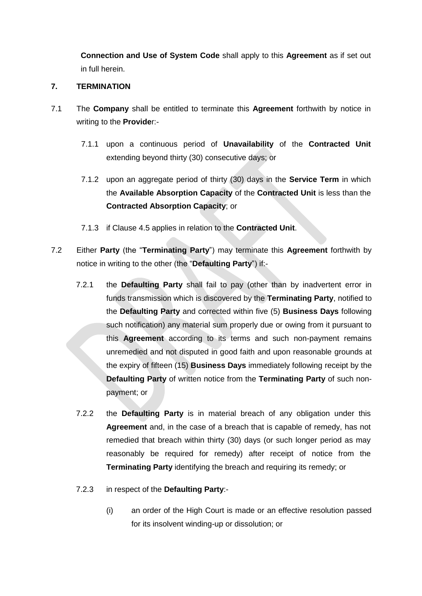**Connection and Use of System Code** shall apply to this **Agreement** as if set out in full herein.

## <span id="page-8-0"></span>**7. TERMINATION**

- <span id="page-8-1"></span>7.1 The **Company** shall be entitled to terminate this **Agreement** forthwith by notice in writing to the **Provide**r:-
	- 7.1.1 upon a continuous period of **Unavailability** of the **Contracted Unit** extending beyond thirty (30) consecutive days; or
	- 7.1.2 upon an aggregate period of thirty (30) days in the **Service Term** in which the **Available Absorption Capacity** of the **Contracted Unit** is less than the **Contracted Absorption Capacity**; or
	- 7.1.3 if Clause [4.5](#page-6-0) applies in relation to the **Contracted Unit**.
- 7.2 Either **Party** (the "**Terminating Party**") may terminate this **Agreement** forthwith by notice in writing to the other (the "**Defaulting Party**") if:-
	- 7.2.1 the **Defaulting Party** shall fail to pay (other than by inadvertent error in funds transmission which is discovered by the **Terminating Party**, notified to the **Defaulting Party** and corrected within five (5) **Business Days** following such notification) any material sum properly due or owing from it pursuant to this **Agreement** according to its terms and such non-payment remains unremedied and not disputed in good faith and upon reasonable grounds at the expiry of fifteen (15) **Business Days** immediately following receipt by the **Defaulting Party** of written notice from the **Terminating Party** of such nonpayment; or
	- 7.2.2 the **Defaulting Party** is in material breach of any obligation under this **Agreement** and, in the case of a breach that is capable of remedy, has not remedied that breach within thirty (30) days (or such longer period as may reasonably be required for remedy) after receipt of notice from the **Terminating Party** identifying the breach and requiring its remedy; or
	- 7.2.3 in respect of the **Defaulting Party**:-
		- (i) an order of the High Court is made or an effective resolution passed for its insolvent winding-up or dissolution; or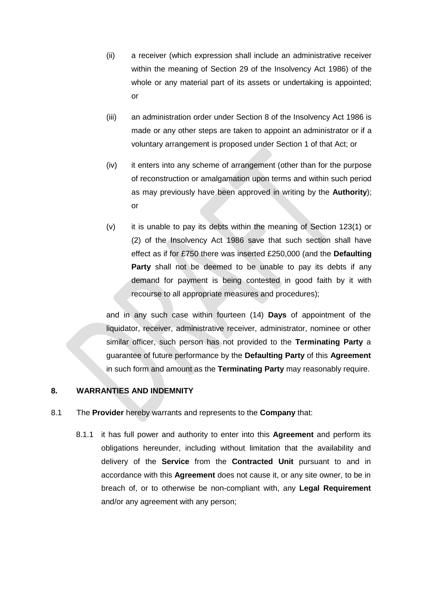- (ii) a receiver (which expression shall include an administrative receiver within the meaning of Section 29 of the Insolvency Act 1986) of the whole or any material part of its assets or undertaking is appointed: or
- (iii) an administration order under Section 8 of the Insolvency Act 1986 is made or any other steps are taken to appoint an administrator or if a voluntary arrangement is proposed under Section 1 of that Act; or
- (iv) it enters into any scheme of arrangement (other than for the purpose of reconstruction or amalgamation upon terms and within such period as may previously have been approved in writing by the **Authority**); or
- (v) it is unable to pay its debts within the meaning of Section 123(1) or (2) of the Insolvency Act 1986 save that such section shall have effect as if for £750 there was inserted £250,000 (and the **Defaulting Party** shall not be deemed to be unable to pay its debts if any demand for payment is being contested in good faith by it with recourse to all appropriate measures and procedures);

and in any such case within fourteen (14) **Days** of appointment of the liquidator, receiver, administrative receiver, administrator, nominee or other similar officer, such person has not provided to the **Terminating Party** a guarantee of future performance by the **Defaulting Party** of this **Agreement** in such form and amount as the **Terminating Party** may reasonably require.

## <span id="page-9-1"></span>**8. WARRANTIES AND INDEMNITY**

- <span id="page-9-0"></span>8.1 The **Provider** hereby warrants and represents to the **Company** that:
	- 8.1.1 it has full power and authority to enter into this **Agreement** and perform its obligations hereunder, including without limitation that the availability and delivery of the **Service** from the **Contracted Unit** pursuant to and in accordance with this **Agreement** does not cause it, or any site owner, to be in breach of, or to otherwise be non-compliant with, any **Legal Requirement** and/or any agreement with any person;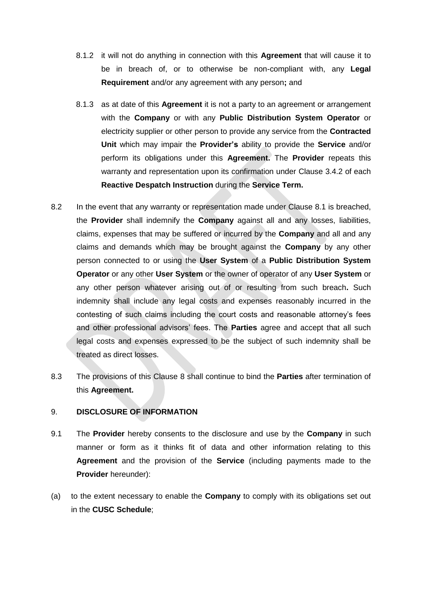- 8.1.2 it will not do anything in connection with this **Agreement** that will cause it to be in breach of, or to otherwise be non-compliant with, any **Legal Requirement** and/or any agreement with any person**;** and
- 8.1.3 as at date of this **Agreement** it is not a party to an agreement or arrangement with the **Company** or with any **Public Distribution System Operator** or electricity supplier or other person to provide any service from the **Contracted Unit** which may impair the **Provider's** ability to provide the **Service** and/or perform its obligations under this **Agreement.** The **Provider** repeats this warranty and representation upon its confirmation under Clause [3.4.2](#page-4-0) of each **Reactive Despatch Instruction** during the **Service Term.**
- 8.2 In the event that any warranty or representation made under Clause [8.1](#page-9-0) is breached, the **Provider** shall indemnify the **Company** against all and any losses, liabilities, claims, expenses that may be suffered or incurred by the **Company** and all and any claims and demands which may be brought against the **Company** by any other person connected to or using the **User System** of a **Public Distribution System Operator** or any other **User System** or the owner of operator of any **User System** or any other person whatever arising out of or resulting from such breach**.** Such indemnity shall include any legal costs and expenses reasonably incurred in the contesting of such claims including the court costs and reasonable attorney's fees and other professional advisors' fees. The **Parties** agree and accept that all such legal costs and expenses expressed to be the subject of such indemnity shall be treated as direct losses.
- 8.3 The provisions of this Clause [8](#page-9-1) shall continue to bind the **Parties** after termination of this **Agreement.**

## <span id="page-10-0"></span>9. **DISCLOSURE OF INFORMATION**

- 9.1 The **Provider** hereby consents to the disclosure and use by the **Company** in such manner or form as it thinks fit of data and other information relating to this **Agreement** and the provision of the **Service** (including payments made to the **Provider** hereunder):
- (a) to the extent necessary to enable the **Company** to comply with its obligations set out in the **CUSC Schedule**;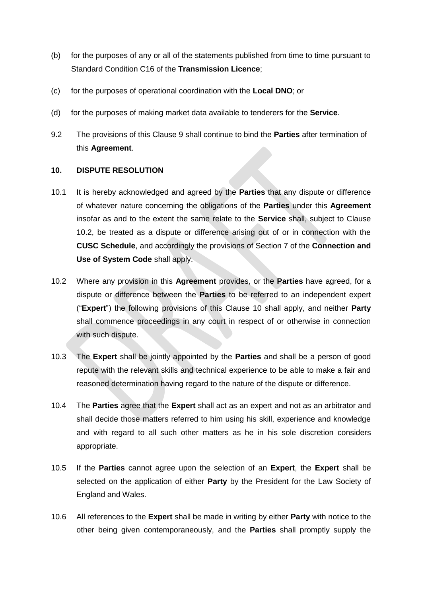- (b) for the purposes of any or all of the statements published from time to time pursuant to Standard Condition C16 of the **Transmission Licence**;
- (c) for the purposes of operational coordination with the **Local DNO**; or
- (d) for the purposes of making market data available to tenderers for the **Service**.
- 9.2 The provisions of this Clause [9](#page-10-0) shall continue to bind the **Parties** after termination of this **Agreement**.

## <span id="page-11-0"></span>**10. DISPUTE RESOLUTION**

- 10.1 It is hereby acknowledged and agreed by the **Parties** that any dispute or difference of whatever nature concerning the obligations of the **Parties** under this **Agreement** insofar as and to the extent the same relate to the **Service** shall, subject to Clause [10.2,](#page-11-1) be treated as a dispute or difference arising out of or in connection with the **CUSC Schedule**, and accordingly the provisions of Section 7 of the **Connection and Use of System Code** shall apply.
- <span id="page-11-1"></span>10.2 Where any provision in this **Agreement** provides, or the **Parties** have agreed, for a dispute or difference between the **Parties** to be referred to an independent expert ("**Expert**") the following provisions of this Clause [10](#page-11-0) shall apply, and neither **Party** shall commence proceedings in any court in respect of or otherwise in connection with such dispute.
- 10.3 The **Expert** shall be jointly appointed by the **Parties** and shall be a person of good repute with the relevant skills and technical experience to be able to make a fair and reasoned determination having regard to the nature of the dispute or difference.
- 10.4 The **Parties** agree that the **Expert** shall act as an expert and not as an arbitrator and shall decide those matters referred to him using his skill, experience and knowledge and with regard to all such other matters as he in his sole discretion considers appropriate.
- 10.5 If the **Parties** cannot agree upon the selection of an **Expert**, the **Expert** shall be selected on the application of either **Party** by the President for the Law Society of England and Wales.
- 10.6 All references to the **Expert** shall be made in writing by either **Party** with notice to the other being given contemporaneously, and the **Parties** shall promptly supply the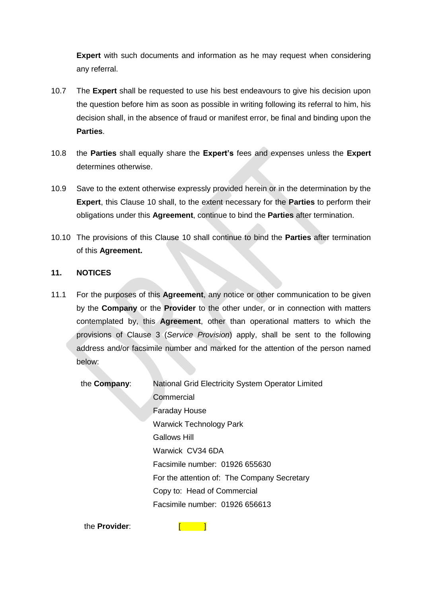**Expert** with such documents and information as he may request when considering any referral.

- 10.7 The **Expert** shall be requested to use his best endeavours to give his decision upon the question before him as soon as possible in writing following its referral to him, his decision shall, in the absence of fraud or manifest error, be final and binding upon the **Parties**.
- 10.8 the **Parties** shall equally share the **Expert's** fees and expenses unless the **Expert**  determines otherwise.
- 10.9 Save to the extent otherwise expressly provided herein or in the determination by the **Expert**, this Clause [10](#page-11-0) shall, to the extent necessary for the **Parties** to perform their obligations under this **Agreement**, continue to bind the **Parties** after termination.
- 10.10 The provisions of this Clause [10](#page-11-0) shall continue to bind the **Parties** after termination of this **Agreement.**

## **11. NOTICES**

- 11.1 For the purposes of this **Agreement**, any notice or other communication to be given by the **Company** or the **Provider** to the other under, or in connection with matters contemplated by, this **Agreement**, other than operational matters to which the provisions of Clause [3](#page-3-0) (*Service Provision*) apply, shall be sent to the following address and/or facsimile number and marked for the attention of the person named below:
	- the **Company**: National Grid Electricity System Operator Limited **Commercial** Faraday House Warwick Technology Park Gallows Hill Warwick CV34 6DA Facsimile number: 01926 655630 For the attention of: The Company Secretary Copy to: Head of Commercial Facsimile number: 01926 656613

the **Provider**: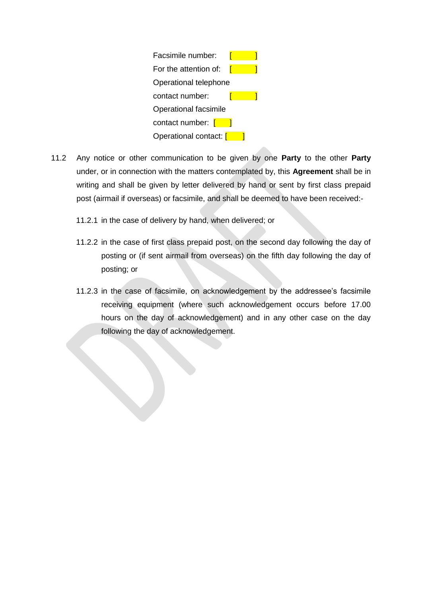

- 11.2 Any notice or other communication to be given by one **Party** to the other **Party** under, or in connection with the matters contemplated by, this **Agreement** shall be in writing and shall be given by letter delivered by hand or sent by first class prepaid post (airmail if overseas) or facsimile, and shall be deemed to have been received:-
	- 11.2.1 in the case of delivery by hand, when delivered; or
	- 11.2.2 in the case of first class prepaid post, on the second day following the day of posting or (if sent airmail from overseas) on the fifth day following the day of posting; or
	- 11.2.3 in the case of facsimile, on acknowledgement by the addressee's facsimile receiving equipment (where such acknowledgement occurs before 17.00 hours on the day of acknowledgement) and in any other case on the day following the day of acknowledgement.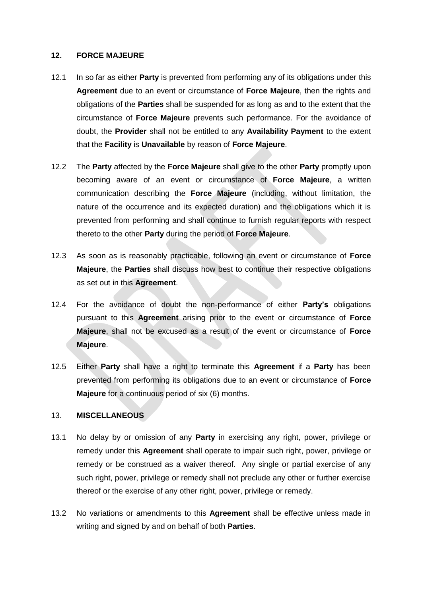#### **12. FORCE MAJEURE**

- 12.1 In so far as either **Party** is prevented from performing any of its obligations under this **Agreement** due to an event or circumstance of **Force Majeure**, then the rights and obligations of the **Parties** shall be suspended for as long as and to the extent that the circumstance of **Force Majeure** prevents such performance. For the avoidance of doubt, the **Provider** shall not be entitled to any **Availability Payment** to the extent that the **Facility** is **Unavailable** by reason of **Force Majeure**.
- 12.2 The **Party** affected by the **Force Majeure** shall give to the other **Party** promptly upon becoming aware of an event or circumstance of **Force Majeure**, a written communication describing the **Force Majeure** (including, without limitation, the nature of the occurrence and its expected duration) and the obligations which it is prevented from performing and shall continue to furnish regular reports with respect thereto to the other **Party** during the period of **Force Majeure**.
- 12.3 As soon as is reasonably practicable, following an event or circumstance of **Force Majeure**, the **Parties** shall discuss how best to continue their respective obligations as set out in this **Agreement**.
- 12.4 For the avoidance of doubt the non-performance of either **Party's** obligations pursuant to this **Agreement** arising prior to the event or circumstance of **Force Majeure**, shall not be excused as a result of the event or circumstance of **Force Majeure**.
- 12.5 Either **Party** shall have a right to terminate this **Agreement** if a **Party** has been prevented from performing its obligations due to an event or circumstance of **Force Majeure** for a continuous period of six (6) months.

## 13. **MISCELLANEOUS**

- 13.1 No delay by or omission of any **Party** in exercising any right, power, privilege or remedy under this **Agreement** shall operate to impair such right, power, privilege or remedy or be construed as a waiver thereof. Any single or partial exercise of any such right, power, privilege or remedy shall not preclude any other or further exercise thereof or the exercise of any other right, power, privilege or remedy.
- 13.2 No variations or amendments to this **Agreement** shall be effective unless made in writing and signed by and on behalf of both **Parties**.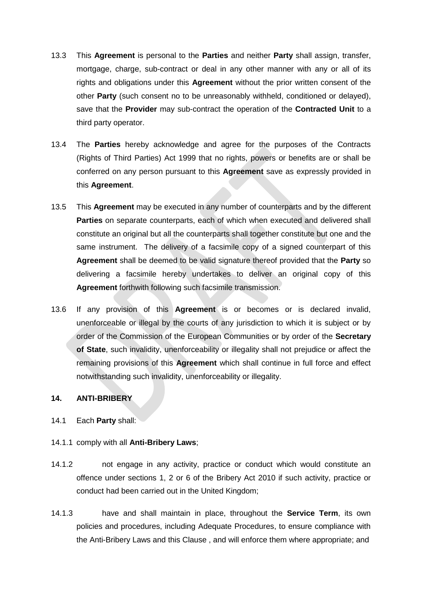- 13.3 This **Agreement** is personal to the **Parties** and neither **Party** shall assign, transfer, mortgage, charge, sub-contract or deal in any other manner with any or all of its rights and obligations under this **Agreement** without the prior written consent of the other **Party** (such consent no to be unreasonably withheld, conditioned or delayed), save that the **Provider** may sub-contract the operation of the **Contracted Unit** to a third party operator.
- 13.4 The **Parties** hereby acknowledge and agree for the purposes of the Contracts (Rights of Third Parties) Act 1999 that no rights, powers or benefits are or shall be conferred on any person pursuant to this **Agreement** save as expressly provided in this **Agreement**.
- 13.5 This **Agreement** may be executed in any number of counterparts and by the different **Parties** on separate counterparts, each of which when executed and delivered shall constitute an original but all the counterparts shall together constitute but one and the same instrument. The delivery of a facsimile copy of a signed counterpart of this **Agreement** shall be deemed to be valid signature thereof provided that the **Party** so delivering a facsimile hereby undertakes to deliver an original copy of this **Agreement** forthwith following such facsimile transmission.
- 13.6 If any provision of this **Agreement** is or becomes or is declared invalid, unenforceable or illegal by the courts of any jurisdiction to which it is subject or by order of the Commission of the European Communities or by order of the **Secretary of State**, such invalidity, unenforceability or illegality shall not prejudice or affect the remaining provisions of this **Agreement** which shall continue in full force and effect notwithstanding such invalidity, unenforceability or illegality.

## <span id="page-15-0"></span>**14. ANTI-BRIBERY**

- 14.1 Each **Party** shall:
- 14.1.1 comply with all **Anti-Bribery Laws**;
- 14.1.2 not engage in any activity, practice or conduct which would constitute an offence under sections 1, 2 or 6 of the Bribery Act 2010 if such activity, practice or conduct had been carried out in the United Kingdom;
- 14.1.3 have and shall maintain in place, throughout the **Service Term**, its own policies and procedures, including Adequate Procedures, to ensure compliance with the Anti-Bribery Laws and this Clause , and will enforce them where appropriate; and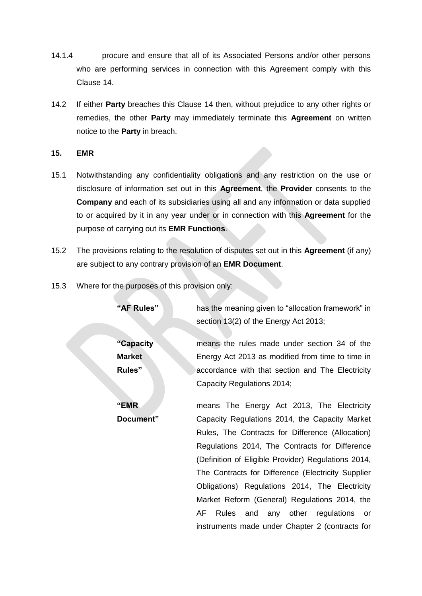- 14.1.4 procure and ensure that all of its Associated Persons and/or other persons who are performing services in connection with this Agreement comply with this Clause [14.](#page-15-0)
- 14.2 If either **Party** breaches this Clause [14](#page-15-0) then, without prejudice to any other rights or remedies, the other **Party** may immediately terminate this **Agreement** on written notice to the **Party** in breach.

## **15. EMR**

- 15.1 Notwithstanding any confidentiality obligations and any restriction on the use or disclosure of information set out in this **Agreement**, the **Provider** consents to the **Company** and each of its subsidiaries using all and any information or data supplied to or acquired by it in any year under or in connection with this **Agreement** for the purpose of carrying out its **EMR Functions**.
- 15.2 The provisions relating to the resolution of disputes set out in this **Agreement** (if any) are subject to any contrary provision of an **EMR Document**.
- 15.3 Where for the purposes of this provision only:

| "AF Rules"    | has the meaning given to "allocation framework" in  |
|---------------|-----------------------------------------------------|
|               | section 13(2) of the Energy Act 2013;               |
|               |                                                     |
| "Capacity"    | means the rules made under section 34 of the        |
| <b>Market</b> | Energy Act 2013 as modified from time to time in    |
| Rules"        | accordance with that section and The Electricity    |
|               | Capacity Regulations 2014;                          |
| "EMR          | means The Energy Act 2013, The Electricity          |
| Document"     | Capacity Regulations 2014, the Capacity Market      |
|               | Rules, The Contracts for Difference (Allocation)    |
|               | Regulations 2014, The Contracts for Difference      |
|               | (Definition of Eligible Provider) Regulations 2014, |
|               | The Contracts for Difference (Electricity Supplier  |
|               | Obligations) Regulations 2014, The Electricity      |
|               | Market Reform (General) Regulations 2014, the       |

AF Rules and any other regulations or instruments made under Chapter 2 (contracts for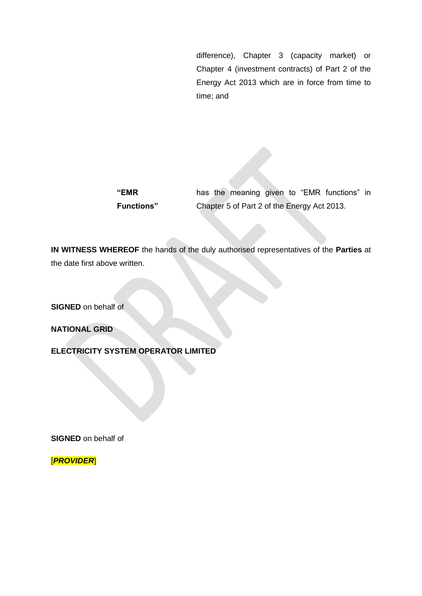difference), Chapter 3 (capacity market) or Chapter 4 (investment contracts) of Part 2 of the Energy Act 2013 which are in force from time to time; and

| "EMR               |  |                                             |  | has the meaning given to "EMR functions" in |  |
|--------------------|--|---------------------------------------------|--|---------------------------------------------|--|
| <b>Functions</b> " |  | Chapter 5 of Part 2 of the Energy Act 2013. |  |                                             |  |

**IN WITNESS WHEREOF** the hands of the duly authorised representatives of the **Parties** at the date first above written.

**SIGNED** on behalf of

**NATIONAL GRID** 

**ELECTRICITY SYSTEM OPERATOR LIMITED**

**SIGNED** on behalf of

[*PROVIDER*]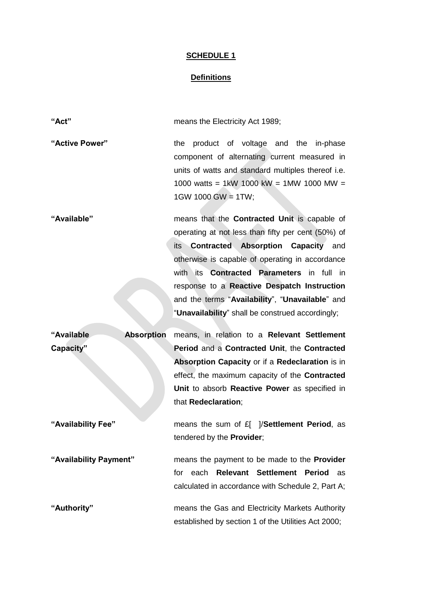# **Definitions**

| "Act"                           | means the Electricity Act 1989;                                                                                                                                                                                                                                                                                                                                                                                            |
|---------------------------------|----------------------------------------------------------------------------------------------------------------------------------------------------------------------------------------------------------------------------------------------------------------------------------------------------------------------------------------------------------------------------------------------------------------------------|
| "Active Power"                  | product of voltage and the in-phase<br>the<br>component of alternating current measured in<br>units of watts and standard multiples thereof i.e.<br>1000 watts = 1kW 1000 kW = 1MW 1000 MW =<br>$1$ GW 1000 GW = 1TW;                                                                                                                                                                                                      |
| "Available"                     | means that the <b>Contracted Unit</b> is capable of<br>operating at not less than fifty per cent (50%) of<br><b>Contracted Absorption Capacity and</b><br>its<br>otherwise is capable of operating in accordance<br>with its <b>Contracted Parameters</b> in full in<br>response to a Reactive Despatch Instruction<br>and the terms "Availability", "Unavailable" and<br>"Unavailability" shall be construed accordingly; |
| "Available<br><b>Absorption</b> | means, in relation to a Relevant Settlement                                                                                                                                                                                                                                                                                                                                                                                |
| Capacity"                       | Period and a Contracted Unit, the Contracted<br>Absorption Capacity or if a Redeclaration is in<br>effect, the maximum capacity of the <b>Contracted</b><br>Unit to absorb Reactive Power as specified in<br>that Redeclaration;                                                                                                                                                                                           |
| "Availability Fee"              | means the sum of £[ ]/Settlement Period, as<br>tendered by the Provider;                                                                                                                                                                                                                                                                                                                                                   |
| "Availability Payment"          | means the payment to be made to the <b>Provider</b><br>Relevant Settlement Period<br>for each<br>as<br>calculated in accordance with Schedule 2, Part A;                                                                                                                                                                                                                                                                   |
| "Authority"                     | means the Gas and Electricity Markets Authority<br>established by section 1 of the Utilities Act 2000;                                                                                                                                                                                                                                                                                                                     |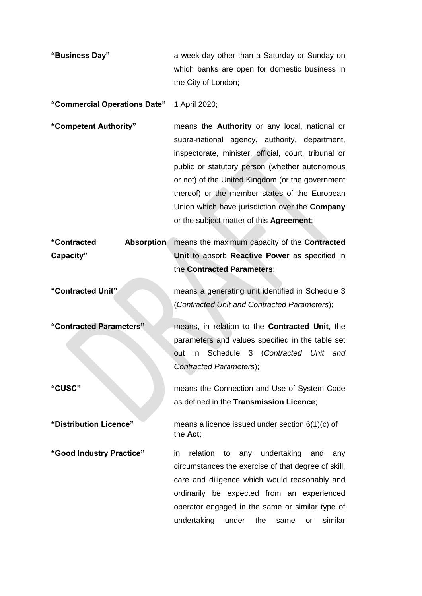| "Business Day" | a week-day other than a Saturday or Sunday on |
|----------------|-----------------------------------------------|
|                | which banks are open for domestic business in |
|                | the City of London;                           |

**"Commercial Operations Date"** 1 April 2020;

**"Competent Authority"** means the **Authority** or any local, national or supra-national agency, authority, department, inspectorate, minister, official, court, tribunal or public or statutory person (whether autonomous or not) of the United Kingdom (or the government thereof) or the member states of the European Union which have jurisdiction over the **Company** or the subject matter of this **Agreement**;

**"Contracted Absorption Capacity"** means the maximum capacity of the **Contracted Unit** to absorb **Reactive Power** as specified in the **Contracted Parameters**;

**"Contracted Unit"** means a generating unit identified in Schedule 3 (*Contracted Unit and Contracted Parameters*);

the **Act**;

*Contracted Parameters*);

**"Contracted Parameters"** means, in relation to the **Contracted Unit**, the parameters and values specified in the table set

**"CUSC"** means the Connection and Use of System Code

**"Distribution Licence"** means a licence issued under section 6(1)(c) of

**"Good Industry Practice"** in relation to any undertaking and any circumstances the exercise of that degree of skill, care and diligence which would reasonably and ordinarily be expected from an experienced operator engaged in the same or similar type of undertaking under the same or similar

out in Schedule 3 (*Contracted Unit and* 

as defined in the **Transmission Licence**;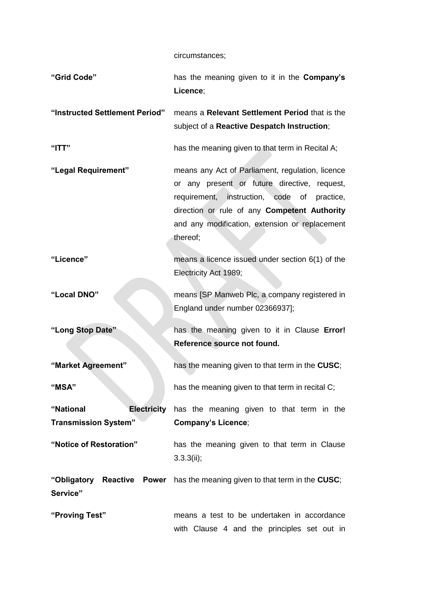circumstances;

| "Grid Code"                                                    | has the meaning given to it in the Company's<br>Licence;                                                                                                                                                                                                         |
|----------------------------------------------------------------|------------------------------------------------------------------------------------------------------------------------------------------------------------------------------------------------------------------------------------------------------------------|
| "Instructed Settlement Period"                                 | means a Relevant Settlement Period that is the<br>subject of a Reactive Despatch Instruction;                                                                                                                                                                    |
| $"$ ITT"                                                       | has the meaning given to that term in Recital A;                                                                                                                                                                                                                 |
| "Legal Requirement"                                            | means any Act of Parliament, regulation, licence<br>or any present or future directive, request,<br>requirement, instruction, code of<br>practice,<br>direction or rule of any Competent Authority<br>and any modification, extension or replacement<br>thereof; |
| "Licence"                                                      | means a licence issued under section 6(1) of the<br>Electricity Act 1989;                                                                                                                                                                                        |
| "Local DNO"                                                    | means [SP Manweb Plc, a company registered in<br>England under number 02366937];                                                                                                                                                                                 |
| "Long Stop Date"                                               | has the meaning given to it in Clause Error!<br>Reference source not found.                                                                                                                                                                                      |
| "Market Agreement"                                             | has the meaning given to that term in the CUSC;                                                                                                                                                                                                                  |
| "MSA"                                                          | has the meaning given to that term in recital C;                                                                                                                                                                                                                 |
| "National<br><b>Electricity</b><br><b>Transmission System"</b> | has the meaning given to that term in the<br><b>Company's Licence;</b>                                                                                                                                                                                           |
| "Notice of Restoration"                                        | has the meaning given to that term in Clause<br>3.3.3(ii);                                                                                                                                                                                                       |
| Service"                                                       | "Obligatory Reactive Power has the meaning given to that term in the CUSC;                                                                                                                                                                                       |
| "Proving Test"                                                 | means a test to be undertaken in accordance<br>with Clause 4 and the principles set out in                                                                                                                                                                       |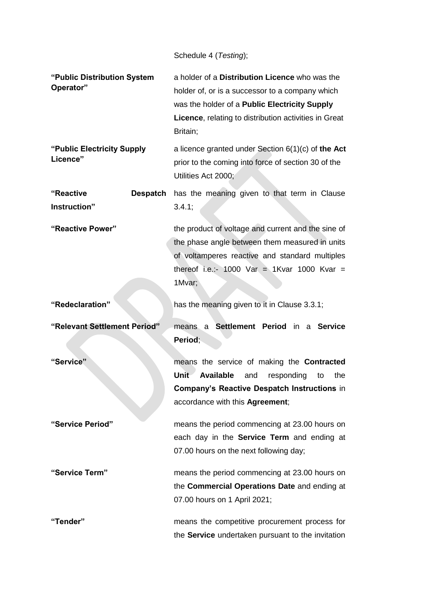Schedule 4 (*Testing*);

| "Public Distribution System<br>Operator" | a holder of a Distribution Licence who was the<br>holder of, or is a successor to a company which<br>was the holder of a Public Electricity Supply<br>Licence, relating to distribution activities in Great<br>Britain; |
|------------------------------------------|-------------------------------------------------------------------------------------------------------------------------------------------------------------------------------------------------------------------------|
| "Public Electricity Supply<br>Licence"   | a licence granted under Section $6(1)(c)$ of the Act<br>prior to the coming into force of section 30 of the<br>Utilities Act 2000;                                                                                      |
| "Reactive<br><b>Despatch</b>             | has the meaning given to that term in Clause                                                                                                                                                                            |
| Instruction"                             | 3.4.1;                                                                                                                                                                                                                  |
| "Reactive Power"                         | the product of voltage and current and the sine of<br>the phase angle between them measured in units<br>of voltamperes reactive and standard multiples<br>thereof i.e.:- 1000 Var = 1Kvar 1000 Kvar =<br>1Mvar;         |
| "Redeclaration"                          | has the meaning given to it in Clause 3.3.1;                                                                                                                                                                            |
| "Relevant Settlement Period"             | means a Settlement Period in a Service<br>Period;                                                                                                                                                                       |
| "Service"                                | means the service of making the Contracted<br>Unit<br><b>Available</b><br>responding<br>and<br>the<br>to<br><b>Company's Reactive Despatch Instructions in</b><br>accordance with this Agreement;                       |
| "Service Period"                         | means the period commencing at 23.00 hours on<br>each day in the Service Term and ending at<br>07.00 hours on the next following day;                                                                                   |
| "Service Term"                           | means the period commencing at 23.00 hours on<br>the Commercial Operations Date and ending at<br>07.00 hours on 1 April 2021;                                                                                           |
| "Tender"                                 | means the competitive procurement process for<br>the Service undertaken pursuant to the invitation                                                                                                                      |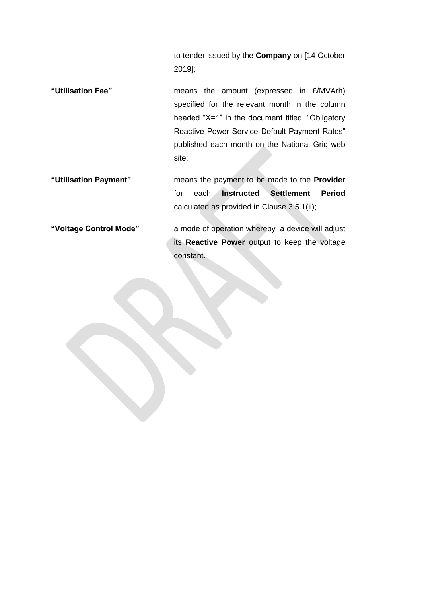to tender issued by the **Company** on [14 October 2019];

- **"Utilisation Fee"** means the amount (expressed in £/MVArh) specified for the relevant month in the column headed "X=1" in the document titled, "Obligatory Reactive Power Service Default Payment Rates" published each month on the National Grid web site;
- **"Utilisation Payment"** means the payment to be made to the **Provider** for each **Instructed Settlement Period** calculated as provided in Clause [3.5.1\(ii\);](#page-5-2)

**"Voltage Control Mode"** a mode of operation whereby a device will adjust its **Reactive Power** output to keep the voltage constant.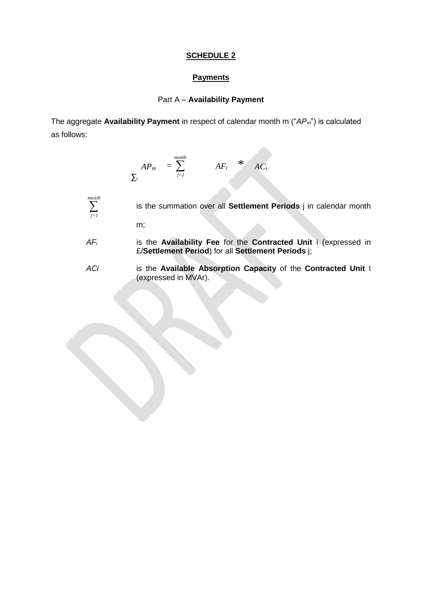### **Payments**

## Part A – **Availability Payment**

The aggregate **Availability Payment** in respect of calendar month m ("*APm*") is calculated as follows:

$$
AP_m = \sum_{i=1}^{month} AF_i * AC_i
$$

 *month j=1*

- is the summation over all **Settlement Periods** j in calendar month m;
- *AF<sup>i</sup>* is the **Availability Fee** for the **Contracted Unit** i (expressed in £/**Settlement Period**) for all **Settlement Periods** j;
- *ACi* is the **Available Absorption Capacity** of the **Contracted Unit** I (expressed in MVAr).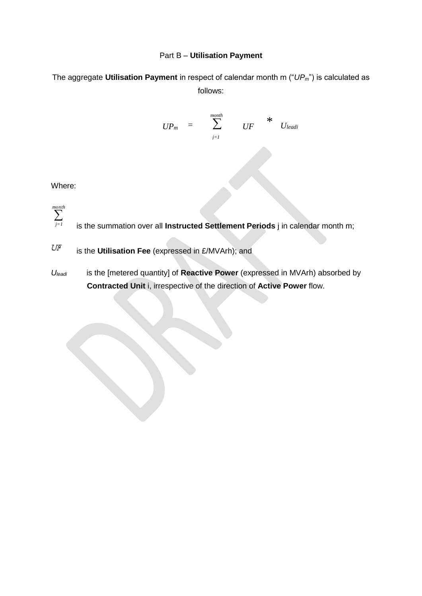## Part B – **Utilisation Payment**

The aggregate **Utilisation Payment** in respect of calendar month m ("*UPm*") is calculated as follows:

$$
UP_m = \sum_{j=1}^{month} UF \qquad * U_{leadi}
$$

Where:

 *j=1 month*

is the summation over all **Instructed Settlement Periods** j in calendar month m;

 $U\!F$ is the **Utilisation Fee** (expressed in £/MVArh); and

*Uleadi* is the [metered quantity] of **Reactive Power** (expressed in MVArh) absorbed by **Contracted Unit** i, irrespective of the direction of **Active Power** flow.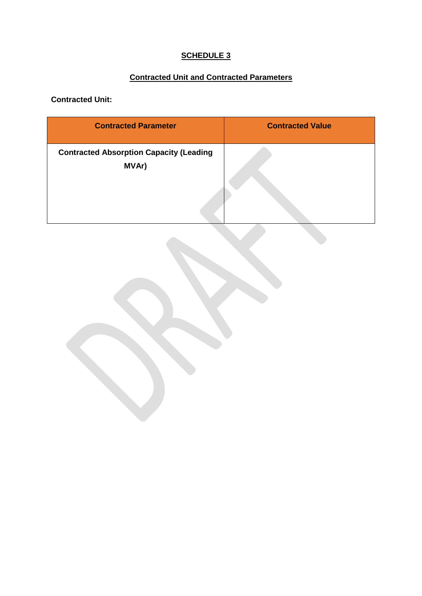# **Contracted Unit and Contracted Parameters**

**Contracted Unit:**

| <b>Contracted Parameter</b>                             | <b>Contracted Value</b> |
|---------------------------------------------------------|-------------------------|
| <b>Contracted Absorption Capacity (Leading</b><br>MVAr) |                         |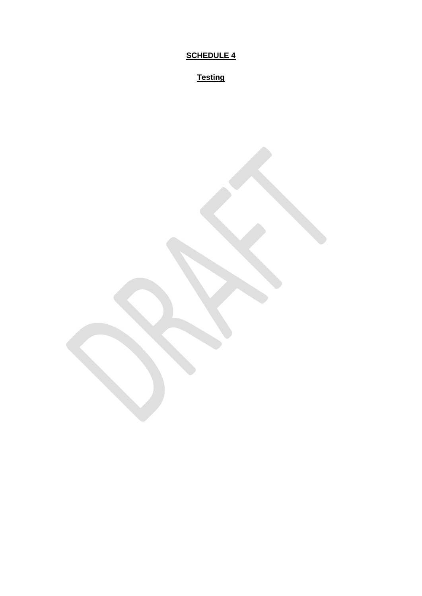**Testing**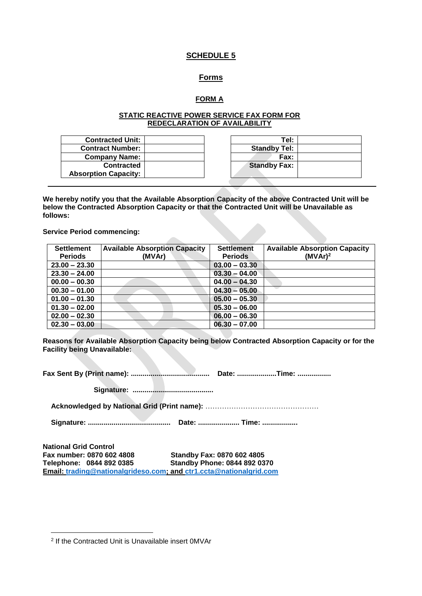#### **Forms**

### **FORM A**

#### **STATIC REACTIVE POWER SERVICE FAX FORM FOR REDECLARATION OF AVAILABILITY**

| <b>Contracted Unit:</b>     | Tel:                |
|-----------------------------|---------------------|
| <b>Contract Number:</b>     | <b>Standby Tel:</b> |
| <b>Company Name:</b>        | Fax:                |
| Contracted                  | <b>Standby Fax:</b> |
| <b>Absorption Capacity:</b> |                     |
|                             |                     |

**We hereby notify you that the Available Absorption Capacity of the above Contracted Unit will be below the Contracted Absorption Capacity or that the Contracted Unit will be Unavailable as follows:**

**Service Period commencing:**

| <b>Settlement</b> | <b>Available Absorption Capacity</b> | <b>Settlement</b> | <b>Available Absorption Capacity</b> |
|-------------------|--------------------------------------|-------------------|--------------------------------------|
| <b>Periods</b>    | (MVAr)                               | <b>Periods</b>    | (MVAr) <sup>2</sup>                  |
| $23.00 - 23.30$   |                                      | $03.00 - 03.30$   |                                      |
| $23.30 - 24.00$   |                                      | $03.30 - 04.00$   |                                      |
| $00.00 - 00.30$   |                                      | $04.00 - 04.30$   |                                      |
| $00.30 - 01.00$   |                                      | $04.30 - 05.00$   |                                      |
| $01.00 - 01.30$   |                                      | $05.00 - 05.30$   |                                      |
| $01.30 - 02.00$   |                                      | $05.30 - 06.00$   |                                      |
| $02.00 - 02.30$   |                                      | $06.00 - 06.30$   |                                      |
| $02.30 - 03.00$   |                                      | $06.30 - 07.00$   |                                      |

**Reasons for Available Absorption Capacity being below Contracted Absorption Capacity or for the Facility being Unavailable:**

**Fax Sent By (Print name): ........................................ Date: ....................Time: .................**

**Signature: .........................................**

**Acknowledged by National Grid (Print name):** …………………………………………

**Signature: .......................................... Date: ..................... Time: ..................**

**National Grid Control Fax number: 0870 602 4808 Standby Fax: 0870 602 4805 Telephone: 0844 892 0385 Standby Phone: 0844 892 0370 Email: [trading@nationalgrideso.com;](mailto:trading@nationalgrideso.com) and [ctr1.ccta@nationalgrid.com](mailto:ctr1.ccta@nationalgrid.com)**

<sup>-</sup>2 If the Contracted Unit is Unavailable insert 0MVAr